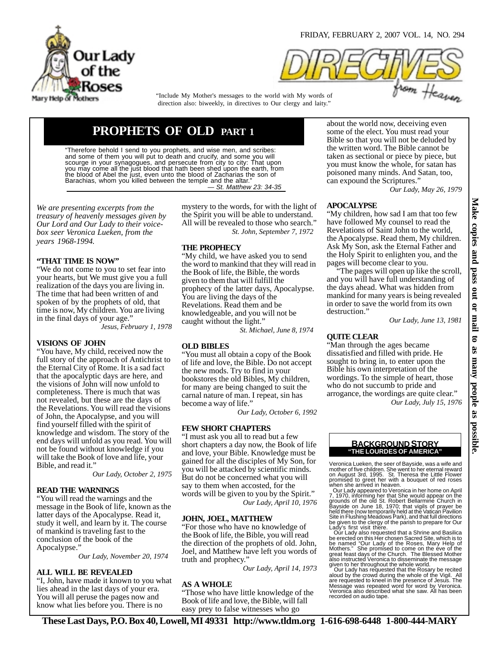

FRIDAY, FEBRUARY 2, 2007 VOL. 14, NO. 294



direction also: biweekly, in directives to Our clergy and laity." "Include My Mother's messages to the world with My words of

# **PROPHETS OF OLD PART 1**

"Therefore behold I send to you prophets, and wise men, and scribes: and some of them you will put to death and crucify, and some you will scourge in your synagogues, and persecute from city to city: That upon you may come all the just blood that hath been shed upon the earth, from<br>the blood of Abel the just, even unto the blood of Zacharias the son of<br>Barachias, whom you killed between the temple and the altar."<br>— S*t. Matthew* 

*We are presenting excerpts from the treasury of heavenly messages given by Our Lord and Our Lady to their voicebox seer Veronica Lueken, from the years 1968-1994.*

#### **"THAT TIME IS NOW"**

"We do not come to you to set fear into your hearts, but We must give you a full realization of the days you are living in. The time that had been written of and spoken of by the prophets of old, that time is now, My children. You are living in the final days of your age."

*Jesus, February 1, 1978*

#### **VISIONS OF JOHN**

"You have, My child, received now the full story of the approach of Antichrist to the Eternal City of Rome. It is a sad fact that the apocalyptic days are here, and the visions of John will now unfold to completeness. There is much that was not revealed, but these are the days of the Revelations. You will read the visions of John, the Apocalypse, and you will find yourself filled with the spirit of knowledge and wisdom. The story of the end days will unfold as you read. You will not be found without knowledge if you will take the Book of love and life, your Bible, and read it."

*Our Lady, October 2, 1975*

#### **READ THE WARNINGS**

"You will read the warnings and the message in the Book of life, known as the latter days of the Apocalypse. Read it, study it well, and learn by it. The course of mankind is traveling fast to the conclusion of the book of the Apocalypse."

*Our Lady, November 20, 1974* 

#### **ALL WILL BE REVEALED**

"I, John, have made it known to you what lies ahead in the last days of your era. You will all peruse the pages now and know what lies before you. There is no

mystery to the words, for with the light of the Spirit you will be able to understand. All will be revealed to those who search." *St. John, September 7, 1972* 

#### **THE PROPHECY**

"My child, we have asked you to send the word to mankind that they will read in the Book of life, the Bible, the words given to them that will fulfill the prophecy of the latter days, Apocalypse. You are living the days of the Revelations. Read them and be knowledgeable, and you will not be caught without the light."

*St. Michael, June 8, 1974* 

#### **OLD BIBLES**

"You must all obtain a copy of the Book of life and love, the Bible. Do not accept the new mods. Try to find in your bookstores the old Bibles, My children, for many are being changed to suit the carnal nature of man. I repeat, sin has become a way of life."

*Our Lady, October 6, 1992*

# **FEW SHORT CHAPTERS**

"I must ask you all to read but a few short chapters a day now, the Book of life and love, your Bible. Knowledge must be gained for all the disciples of My Son, for you will be attacked by scientific minds. But do not be concerned what you will say to them when accosted, for the words will be given to you by the Spirit." *Our Lady, April 10, 1976*

#### **JOHN, JOEL, MATTHEW**

"For those who have no knowledge of the Book of life, the Bible, you will read the direction of the prophets of old. John, Joel, and Matthew have left you words of truth and prophecy."

*Our Lady, April 14, 1973*

#### **AS A WHOLE**

"Those who have little knowledge of the Book of life and love, the Bible, will fall easy prey to false witnesses who go

about the world now, deceiving even some of the elect. You must read your Bible so that you will not be deluded by the written word. The Bible cannot be taken as sectional or piece by piece, but you must know the whole, for satan has poisoned many minds. And Satan, too, can expound the Scriptures."

*Our Lady, May 26, 1979*

#### **APOCALYPSE**

"My children, how sad I am that too few have followed My counsel to read the Revelations of Saint John to the world, the Apocalypse. Read them, My children. Ask My Son, ask the Eternal Father and the Holy Spirit to enlighten you, and the pages will become clear to you.

 "The pages will open up like the scroll, and you will have full understanding of the days ahead. What was hidden from mankind for many years is being revealed in order to save the world from its own destruction."

*Our Lady, June 13, 1981*

#### **QUITE CLEAR**

"Man through the ages became dissatisfied and filled with pride. He sought to bring in, to enter upon the Bible his own interpretation of the wordings. To the simple of heart, those who do not succumb to pride and arrogance, the wordings are quite clear." *Our Lady, July 15, 1976*

> **"THE LOURDES OF AMERICA" BACKGROUND STORY**

Veronica Lueken, the seer of Bayside, was a wife and mother of five children. She went to her eternal reward<br>on August 3rd, 1995. St. Theresa the Little Flower<br>promised to greet her with a bouquet of red roses<br>when she arrived in heaven.<br>Our Lady appeared to Veronica in her

7, 1970, informing her that She would appear on the<br>grounds of the old St. Robert Bellarmine Church in<br>Bayside on June 18, 1970; that vigils of prayer be<br>held there (now temporarily held at the Vatican Pavilion<br>Site in Flu Lady's first visit there.

 Our Lady also requested that a Shrine and Basilica be erected on this Her chosen Sacred Site, which is to be named "Our Lady of the Roses, Mary Help of Mothers." She promised to come on the eve of the great feast days of the Church. The Blessed Mother also instructed Veronica to disseminate the message given to her throughout the whole world. Our Lady has requested that the Rosary be recited

aloud by the crowd during the whole of the Vigil. All are requested to kneel in the presence of Jesus. The Message was repeated word for word by Veronica. Veronica also described what she saw. All has been recorded on audio tape.